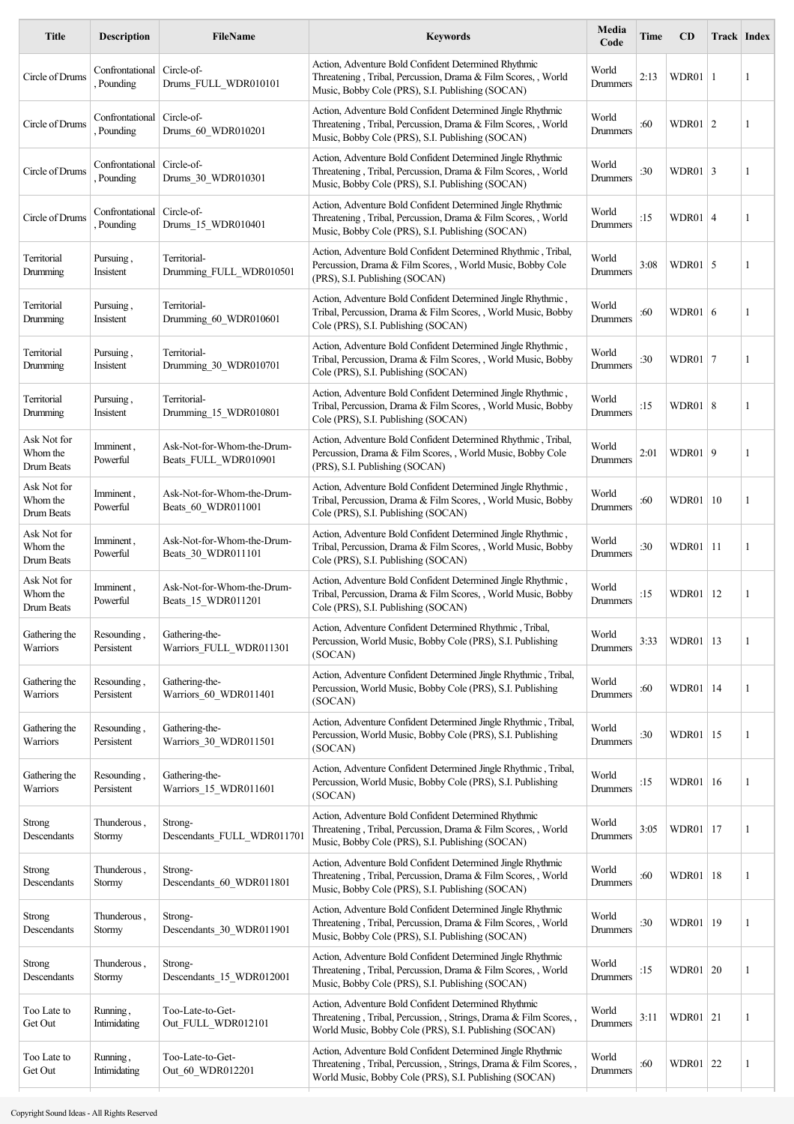| <b>Title</b>                          | <b>Description</b>                       | <b>FileName</b>                                    | <b>Keywords</b>                                                                                                                                                                         | Media<br>Code     | Time | <b>CD</b>        | <b>Track Index</b> |              |
|---------------------------------------|------------------------------------------|----------------------------------------------------|-----------------------------------------------------------------------------------------------------------------------------------------------------------------------------------------|-------------------|------|------------------|--------------------|--------------|
| Circle of Drums                       | Confrontational<br>Pounding              | Circle-of-<br>Drums FULL WDR010101                 | Action, Adventure Bold Confident Determined Rhythmic<br>Threatening, Tribal, Percussion, Drama & Film Scores, , World<br>Music, Bobby Cole (PRS), S.I. Publishing (SOCAN)               | World<br>Drummers | 2:13 | WDR01            | -1                 | $\mathbf{1}$ |
| Circle of Drums                       | Confrontational   Circle-of-<br>Pounding | Drums 60 WDR010201                                 | Action, Adventure Bold Confident Determined Jingle Rhythmic<br>Threatening, Tribal, Percussion, Drama & Film Scores, , World<br>Music, Bobby Cole (PRS), S.I. Publishing (SOCAN)        | World<br>Drummers | :60  | WDR01   $2$      |                    | -1           |
| Circle of Drums                       | Confrontational   Circle-of-<br>Pounding | Drums 30 WDR010301                                 | Action, Adventure Bold Confident Determined Jingle Rhythmic<br>Threatening, Tribal, Percussion, Drama & Film Scores,, World<br>Music, Bobby Cole (PRS), S.I. Publishing (SOCAN)         | World<br>Drummers | :30  | WDR01 $\vert$ 3  |                    | 1            |
| Circle of Drums                       | Confrontational   Circle-of-<br>Pounding | Drums 15 WDR010401                                 | Action, Adventure Bold Confident Determined Jingle Rhythmic<br>Threatening, Tribal, Percussion, Drama & Film Scores, , World<br>Music, Bobby Cole (PRS), S.I. Publishing (SOCAN)        | World<br>Drummers | :15  | <b>WDR01   4</b> |                    | 1            |
| Territorial<br>Drumming               | Pursuing,<br>Insistent                   | Territorial-<br>Drumming FULL WDR010501            | Action, Adventure Bold Confident Determined Rhythmic, Tribal,<br>Percussion, Drama & Film Scores, , World Music, Bobby Cole<br>(PRS), S.I. Publishing (SOCAN)                           | World<br>Drummers | 3:08 | WDR01            | 5                  | 1            |
| Territorial<br>Drumming               | Pursuing,<br>Insistent                   | Territorial-<br>Drumming 60 WDR010601              | Action, Adventure Bold Confident Determined Jingle Rhythmic,<br>Tribal, Percussion, Drama & Film Scores, , World Music, Bobby<br>Cole (PRS), S.I. Publishing (SOCAN)                    | World<br>Drummers | :60  | WDR01 $\vert$ 6  |                    | 1            |
| Territorial<br>Drumming               | Pursuing,<br>Insistent                   | Territorial-<br>Drumming_30_WDR010701              | Action, Adventure Bold Confident Determined Jingle Rhythmic,<br>Tribal, Percussion, Drama & Film Scores, , World Music, Bobby<br>Cole (PRS), S.I. Publishing (SOCAN)                    | World<br>Drummers | :30  | WDR01   $7$      |                    | 1            |
| Territorial<br>Drumming               | Pursuing,<br>Insistent                   | Territorial-<br>Drumming_15_WDR010801              | Action, Adventure Bold Confident Determined Jingle Rhythmic,<br>Tribal, Percussion, Drama & Film Scores, , World Music, Bobby<br>Cole (PRS), S.I. Publishing (SOCAN)                    | World<br>Drummers | :15  | WDR01 $ 8$       |                    | 1            |
| Ask Not for<br>Whom the<br>Drum Beats | Imminent,<br>Powerful                    | Ask-Not-for-Whom-the-Drum-<br>Beats FULL WDR010901 | Action, Adventure Bold Confident Determined Rhythmic, Tribal,<br>Percussion, Drama & Film Scores, , World Music, Bobby Cole<br>(PRS), S.I. Publishing (SOCAN)                           | World<br>Drummers | 2:01 | WDR01            | 9                  | $\mathbf{1}$ |
| Ask Not for<br>Whom the<br>Drum Beats | Imminent,<br>Powerful                    | Ask-Not-for-Whom-the-Drum-<br>Beats_60_WDR011001   | Action, Adventure Bold Confident Determined Jingle Rhythmic,<br>Tribal, Percussion, Drama & Film Scores, , World Music, Bobby<br>Cole (PRS), S.I. Publishing (SOCAN)                    | World<br>Drummers | :60  | WDR01   10       |                    | 1            |
| Ask Not for<br>Whom the<br>Drum Beats | Imminent,<br>Powerful                    | Ask-Not-for-Whom-the-Drum-<br>Beats_30_WDR011101   | Action, Adventure Bold Confident Determined Jingle Rhythmic,<br>Tribal, Percussion, Drama & Film Scores, , World Music, Bobby<br>Cole (PRS), S.I. Publishing (SOCAN)                    | World<br>Drummers | :30  | WDR01   11       |                    | 1            |
| Ask Not for<br>Whom the<br>Drum Beats | Imminent,<br>Powerful                    | Ask-Not-for-Whom-the-Drum-<br>Beats 15 WDR011201   | Action, Adventure Bold Confident Determined Jingle Rhythmic,<br>Tribal, Percussion, Drama & Film Scores, , World Music, Bobby<br>Cole (PRS), S.I. Publishing (SOCAN)                    | World<br>Drummers | :15  | WDR01            | 12                 | 1            |
| Gathering the<br>Warriors             | Resounding,<br>Persistent                | Gathering-the-<br>Warriors_FULL_WDR011301          | Action, Adventure Confident Determined Rhythmic, Tribal,<br>Percussion, World Music, Bobby Cole (PRS), S.I. Publishing<br>(SOCAN)                                                       | World<br>Drummers | 3:33 | WDR01   13       |                    | 1            |
| Gathering the<br>Warriors             | Resounding,<br>Persistent                | Gathering-the-<br>Warriors_60_WDR011401            | Action, Adventure Confident Determined Jingle Rhythmic, Tribal,<br>Percussion, World Music, Bobby Cole (PRS), S.I. Publishing<br>(SOCAN)                                                | World<br>Drummers | :60  | WDR01   14       |                    | 1            |
| Gathering the<br>Warriors             | Resounding,<br>Persistent                | Gathering-the-<br>Warriors 30 WDR011501            | Action, Adventure Confident Determined Jingle Rhythmic, Tribal,<br>Percussion, World Music, Bobby Cole (PRS), S.I. Publishing<br>(SOCAN)                                                | World<br>Drummers | :30  | WDR01   15       |                    | 1            |
| Gathering the<br>Warriors             | Resounding,<br>Persistent                | Gathering-the-<br>Warriors_15_WDR011601            | Action, Adventure Confident Determined Jingle Rhythmic, Tribal,<br>Percussion, World Music, Bobby Cole (PRS), S.I. Publishing<br>(SOCAN)                                                | World<br>Drummers | :15  | WDR01            | 16                 | 1            |
| Strong<br>Descendants                 | Thunderous,<br>Stormy                    | Strong-<br>Descendants_FULL_WDR01170               | Action, Adventure Bold Confident Determined Rhythmic<br>Threatening, Tribal, Percussion, Drama & Film Scores, , World<br>Music, Bobby Cole (PRS), S.I. Publishing (SOCAN)               | World<br>Drummers | 3:05 | WDR01            | 17                 | 1            |
| <b>Strong</b><br>Descendants          | Thunderous,<br>Stormy                    | Strong-<br>Descendants_60_WDR011801                | Action, Adventure Bold Confident Determined Jingle Rhythmic<br>Threatening, Tribal, Percussion, Drama & Film Scores, , World<br>Music, Bobby Cole (PRS), S.I. Publishing (SOCAN)        | World<br>Drummers | :60  | WDR01   18       |                    | 1            |
| <b>Strong</b><br>Descendants          | Thunderous,<br>Stormy                    | Strong-<br>Descendants_30_WDR011901                | Action, Adventure Bold Confident Determined Jingle Rhythmic<br>Threatening, Tribal, Percussion, Drama & Film Scores, , World<br>Music, Bobby Cole (PRS), S.I. Publishing (SOCAN)        | World<br>Drummers | :30  | WDR01   19       |                    | 1            |
| <b>Strong</b><br>Descendants          | Thunderous,<br>Stormy                    | Strong-<br>Descendants_15_WDR012001                | Action, Adventure Bold Confident Determined Jingle Rhythmic<br>Threatening, Tribal, Percussion, Drama & Film Scores, , World<br>Music, Bobby Cole (PRS), S.I. Publishing (SOCAN)        | World<br>Drummers | :15  | WDR01   20       |                    | 1            |
| Too Late to<br>Get Out                | Running,<br>Intimidating                 | Too-Late-to-Get-<br>Out_FULL_WDR012101             | Action, Adventure Bold Confident Determined Rhythmic<br>Threatening, Tribal, Percussion, , Strings, Drama & Film Scores,<br>World Music, Bobby Cole (PRS), S.I. Publishing (SOCAN)      | World<br>Drummers | 3:11 | WDR01   21       |                    | 1            |
| Too Late to<br>Get Out                | Running,<br>Intimidating                 | Too-Late-to-Get-<br>Out 60 WDR012201               | Action, Adventure Bold Confident Determined Jingle Rhythmic<br>Threatening, Tribal, Percussion, Strings, Drama & Film Scores,<br>World Music, Bobby Cole (PRS), S.I. Publishing (SOCAN) | World<br>Drummers | :60  | WDR01 22         |                    | 1            |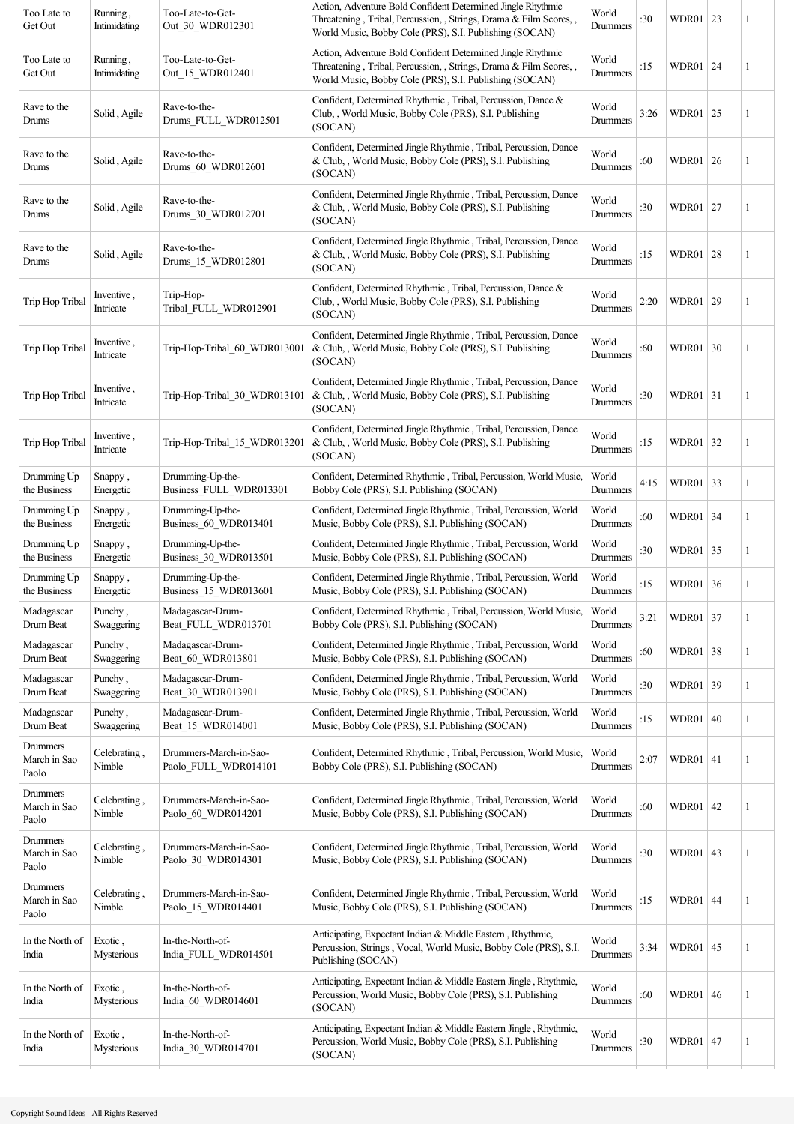| Action, Adventure Bold Confident Determined Jingle Rhythmic<br>World                                                                                |                                                                                                                                                                                                             |                                                                                                                                                                                                                                                                                              |    |                                                                                                                                                                                                                                                              |
|-----------------------------------------------------------------------------------------------------------------------------------------------------|-------------------------------------------------------------------------------------------------------------------------------------------------------------------------------------------------------------|----------------------------------------------------------------------------------------------------------------------------------------------------------------------------------------------------------------------------------------------------------------------------------------------|----|--------------------------------------------------------------------------------------------------------------------------------------------------------------------------------------------------------------------------------------------------------------|
| Threatening, Tribal, Percussion, , Strings, Drama & Film Scores, ,<br>World Music, Bobby Cole (PRS), S.I. Publishing (SOCAN)                        | :15                                                                                                                                                                                                         |                                                                                                                                                                                                                                                                                              |    | 1                                                                                                                                                                                                                                                            |
| Confident, Determined Rhythmic, Tribal, Percussion, Dance &<br>Club, , World Music, Bobby Cole (PRS), S.I. Publishing                               | 3:26                                                                                                                                                                                                        |                                                                                                                                                                                                                                                                                              |    | 1                                                                                                                                                                                                                                                            |
| Confident, Determined Jingle Rhythmic, Tribal, Percussion, Dance<br>& Club, , World Music, Bobby Cole (PRS), S.I. Publishing                        | :60                                                                                                                                                                                                         |                                                                                                                                                                                                                                                                                              |    | 1                                                                                                                                                                                                                                                            |
| Confident, Determined Jingle Rhythmic, Tribal, Percussion, Dance<br>& Club, , World Music, Bobby Cole (PRS), S.I. Publishing                        | :30                                                                                                                                                                                                         |                                                                                                                                                                                                                                                                                              |    | 1                                                                                                                                                                                                                                                            |
| Confident, Determined Jingle Rhythmic, Tribal, Percussion, Dance<br>& Club, , World Music, Bobby Cole (PRS), S.I. Publishing                        | :15                                                                                                                                                                                                         |                                                                                                                                                                                                                                                                                              |    | 1                                                                                                                                                                                                                                                            |
| Confident, Determined Rhythmic, Tribal, Percussion, Dance &<br>Club, , World Music, Bobby Cole (PRS), S.I. Publishing                               | 2:20                                                                                                                                                                                                        |                                                                                                                                                                                                                                                                                              |    | 1                                                                                                                                                                                                                                                            |
| Confident, Determined Jingle Rhythmic, Tribal, Percussion, Dance<br>& Club, , World Music, Bobby Cole (PRS), S.I. Publishing                        | :60                                                                                                                                                                                                         |                                                                                                                                                                                                                                                                                              |    | 1                                                                                                                                                                                                                                                            |
| Confident, Determined Jingle Rhythmic, Tribal, Percussion, Dance<br>& Club, , World Music, Bobby Cole (PRS), S.I. Publishing                        | :30                                                                                                                                                                                                         |                                                                                                                                                                                                                                                                                              |    | 1                                                                                                                                                                                                                                                            |
| Confident, Determined Jingle Rhythmic, Tribal, Percussion, Dance<br>& Club, , World Music, Bobby Cole (PRS), S.I. Publishing                        | :15                                                                                                                                                                                                         |                                                                                                                                                                                                                                                                                              |    | 1                                                                                                                                                                                                                                                            |
| Confident, Determined Rhythmic, Tribal, Percussion, World Music,<br>Bobby Cole (PRS), S.I. Publishing (SOCAN)                                       | 4:15                                                                                                                                                                                                        | WDR01                                                                                                                                                                                                                                                                                        |    | 1                                                                                                                                                                                                                                                            |
| Confident, Determined Jingle Rhythmic, Tribal, Percussion, World<br>Music, Bobby Cole (PRS), S.I. Publishing (SOCAN)                                | :60                                                                                                                                                                                                         | WDR01                                                                                                                                                                                                                                                                                        |    | 1                                                                                                                                                                                                                                                            |
| Confident, Determined Jingle Rhythmic, Tribal, Percussion, World<br>Music, Bobby Cole (PRS), S.I. Publishing (SOCAN)                                | :30                                                                                                                                                                                                         |                                                                                                                                                                                                                                                                                              |    | 1                                                                                                                                                                                                                                                            |
| Confident, Determined Jingle Rhythmic, Tribal, Percussion, World<br>Music, Bobby Cole (PRS), S.I. Publishing (SOCAN)                                | :15                                                                                                                                                                                                         | WDR01                                                                                                                                                                                                                                                                                        |    | 1                                                                                                                                                                                                                                                            |
| Confident, Determined Rhythmic, Tribal, Percussion, World Music,<br>Bobby Cole (PRS), S.I. Publishing (SOCAN)                                       | 3:21                                                                                                                                                                                                        |                                                                                                                                                                                                                                                                                              |    | 1                                                                                                                                                                                                                                                            |
| Confident, Determined Jingle Rhythmic, Tribal, Percussion, World<br>Music, Bobby Cole (PRS), S.I. Publishing (SOCAN)                                | :60                                                                                                                                                                                                         |                                                                                                                                                                                                                                                                                              |    | 1                                                                                                                                                                                                                                                            |
| Confident, Determined Jingle Rhythmic, Tribal, Percussion, World<br>Music, Bobby Cole (PRS), S.I. Publishing (SOCAN)                                | :30                                                                                                                                                                                                         | WDR01                                                                                                                                                                                                                                                                                        | 39 | 1                                                                                                                                                                                                                                                            |
| Confident, Determined Jingle Rhythmic, Tribal, Percussion, World<br>Music, Bobby Cole (PRS), S.I. Publishing (SOCAN)                                | :15                                                                                                                                                                                                         | WDR01                                                                                                                                                                                                                                                                                        | 40 | 1                                                                                                                                                                                                                                                            |
| Confident, Determined Rhythmic, Tribal, Percussion, World Music,<br>Bobby Cole (PRS), S.I. Publishing (SOCAN)                                       | 2:07                                                                                                                                                                                                        |                                                                                                                                                                                                                                                                                              |    | 1                                                                                                                                                                                                                                                            |
| Confident, Determined Jingle Rhythmic, Tribal, Percussion, World<br>Music, Bobby Cole (PRS), S.I. Publishing (SOCAN)                                | :60                                                                                                                                                                                                         | WDR01                                                                                                                                                                                                                                                                                        | 42 | 1                                                                                                                                                                                                                                                            |
| Confident, Determined Jingle Rhythmic, Tribal, Percussion, World<br>Music, Bobby Cole (PRS), S.I. Publishing (SOCAN)                                | :30                                                                                                                                                                                                         |                                                                                                                                                                                                                                                                                              |    | 1                                                                                                                                                                                                                                                            |
| Confident, Determined Jingle Rhythmic, Tribal, Percussion, World<br>Music, Bobby Cole (PRS), S.I. Publishing (SOCAN)                                | :15                                                                                                                                                                                                         | WDR01                                                                                                                                                                                                                                                                                        | 44 | 1                                                                                                                                                                                                                                                            |
| Anticipating, Expectant Indian & Middle Eastern, Rhythmic,<br>Percussion, Strings, Vocal, World Music, Bobby Cole (PRS), S.I.<br>Publishing (SOCAN) | 3:34                                                                                                                                                                                                        | WDR01                                                                                                                                                                                                                                                                                        | 45 | 1                                                                                                                                                                                                                                                            |
| Anticipating, Expectant Indian & Middle Eastern Jingle, Rhythmic,<br>Percussion, World Music, Bobby Cole (PRS), S.I. Publishing                     | :60                                                                                                                                                                                                         | WDR01                                                                                                                                                                                                                                                                                        | 46 | 1                                                                                                                                                                                                                                                            |
| Anticipating, Expectant Indian & Middle Eastern Jingle, Rhythmic,<br>Percussion, World Music, Bobby Cole (PRS), S.I. Publishing                     | :30                                                                                                                                                                                                         |                                                                                                                                                                                                                                                                                              |    | 1                                                                                                                                                                                                                                                            |
|                                                                                                                                                     | World<br>World<br>World<br>World<br>World<br>World<br>World<br>World<br>World<br>World<br>World<br>World<br>World<br>World<br>World<br>World<br>World<br>World<br>World<br>World<br>World<br>World<br>World | Drummers<br>Drummers<br>Drummers<br>Drummers<br>Drummers<br>Drummers<br>Drummers<br>Drummers<br>Drummers<br>Drummers<br>Drummers<br>Drummers<br>Drummers<br>Drummers<br>Drummers<br>Drummers<br>Drummers<br>Drummers<br>Drummers<br>Drummers<br>Drummers<br>Drummers<br>Drummers<br>Drummers |    | WDR01   24<br>WDR01 25<br>WDR01   26<br><b>WDR01 27</b><br>WDR01 28<br>WDR01   29<br>WDR01   30<br>WDR01 31<br>WDR01 32<br>$\vert$ 33<br>$\vert 34 \vert$<br>WDR01 35<br>$\vert 36 \rangle$<br>WDR01 37<br>WDR01 38<br>WDR01 $ 41$<br>WDR01 43<br>WDR01   47 |